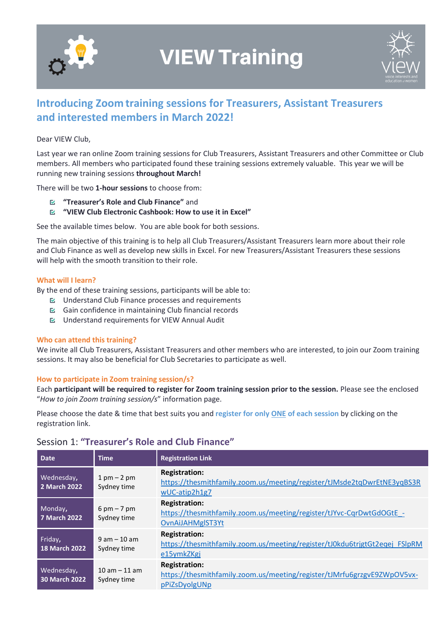

# **VIEW Training**



# **Introducing Zoom training sessions for Treasurers, Assistant Treasurers and interested members in March 2022!**

#### Dear VIEW Club,

Last year we ran online Zoom training sessions for Club Treasurers, Assistant Treasurers and other Committee or Club members. All members who participated found these training sessions extremely valuable. This year we will be running new training sessions **throughout March!**

There will be two **1-hour sessions** to choose from:

- **"Treasurer's Role and Club Finance"** and
- **"VIEW Club Electronic Cashbook: How to use it in Excel"**

See the available times below. You are able book for both sessions.

The main objective of this training is to help all Club Treasurers/Assistant Treasurers learn more about their role and Club Finance as well as develop new skills in Excel. For new Treasurers/Assistant Treasurers these sessions will help with the smooth transition to their role.

#### **What will I learn?**

By the end of these training sessions, participants will be able to:

- $\boxtimes$  Understand Club Finance processes and requirements
- Gain confidence in maintaining Club financial records
- Understand requirements for VIEW Annual Audit

#### **Who can attend this training?**

We invite all Club Treasurers, Assistant Treasurers and other members who are interested, to join our Zoom training sessions. It may also be beneficial for Club Secretaries to participate as well.

#### **How to participate in Zoom training session/s?**

Each **participant will be required to register for Zoom training session prior to the session.** Please see the enclosed "*How to join Zoom training session/s*" information page.

Please choose the date & time that best suits you and **register for only ONE of each session** by clicking on the registration link.

| <b>Date</b>                     | <b>Time</b>                                  | <b>Registration Link</b>                                                                                         |
|---------------------------------|----------------------------------------------|------------------------------------------------------------------------------------------------------------------|
| Wednesday,<br>2 March 2022      | $1$ pm $-$ 2 pm<br>Sydney time               | <b>Registration:</b><br>https://thesmithfamily.zoom.us/meeting/register/tJMsde2tqDwrEtNE3yqBS3R<br>wUC-atip2h1g7 |
| Monday,<br>7 March 2022         | $6 \text{ pm} - 7 \text{ pm}$<br>Sydney time | <b>Registration:</b><br>https://thesmithfamily.zoom.us/meeting/register/tJYvc-CqrDwtGdOGtE -<br>OvnAiJAHMgIST3Yt |
| Friday,<br><b>18 March 2022</b> | $9 am - 10 am$<br>Sydney time                | <b>Registration:</b><br>https://thesmithfamily.zoom.us/meeting/register/tJ0kdu6trjgtGt2eqej FSIpRM<br>e15ymkZKgj |
| Wednesday,<br>30 March 2022     | $10$ am $-11$ am<br>Sydney time              | <b>Registration:</b><br>https://thesmithfamily.zoom.us/meeting/register/tJMrfu6grzgvE9ZWpOV5vx-<br>pPiZsDyolgUNp |

## Session 1: **"Treasurer's Role and Club Finance"**